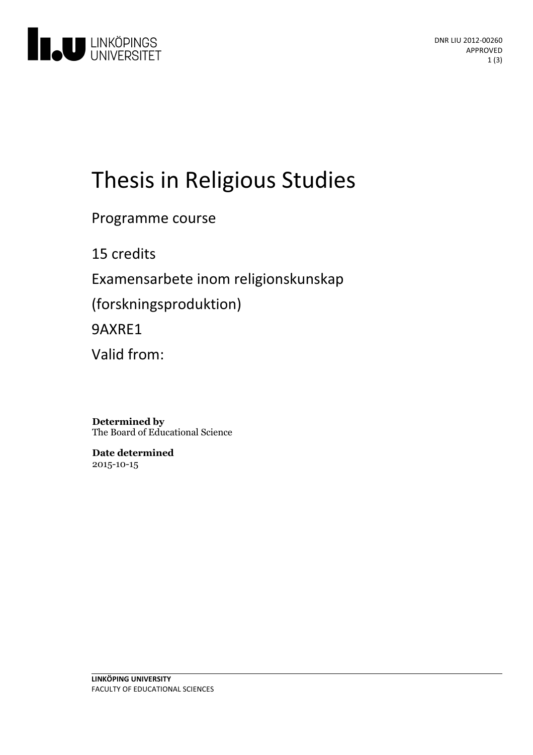

# Thesis in Religious Studies

Programme course

15 credits

Examensarbete inom religionskunskap

(forskningsproduktion)

9AXRE1

Valid from:

**Determined by** The Board of Educational Science

**Date determined** 2015-10-15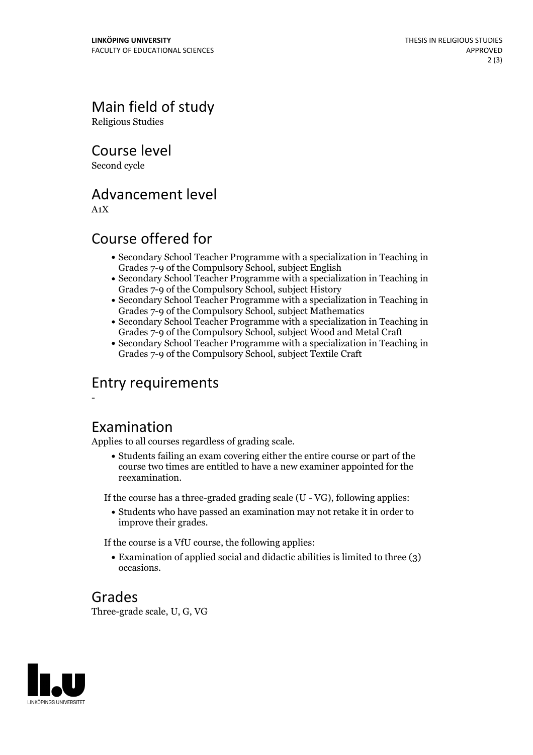Main field of study Religious Studies

Course level

Second cycle

# Advancement level

A1X

-

# Course offered for

- Secondary School Teacher Programme with a specialization in Teaching in Grades 7-9 of the Compulsory School, subject English
- Secondary School Teacher Programme with a specialization in Teaching in Grades 7-9 of the Compulsory School, subject History
- Secondary School Teacher Programme with a specialization in Teaching in Grades 7-9 of the Compulsory School, subject Mathematics
- Secondary School Teacher Programme with a specialization in Teaching in Grades 7-9 of the Compulsory School, subject Wood and Metal Craft
- Secondary School Teacher Programme with a specialization in Teaching in Grades 7-9 of the Compulsory School, subject Textile Craft

## Entry requirements

#### Examination

Applies to all courses regardless of grading scale.

Students failing an exam covering either the entire course or part of the course two times are entitled to have a new examiner appointed for the reexamination.

If the course has a three-graded grading scale (U - VG), following applies:

Students who have passed an examination may not retake it in order to improve their grades.

If the course is a VfU course, the following applies:

Examination of applied social and didactic abilities is limited to three (3) occasions.

## Grades

Three-grade scale, U, G, VG